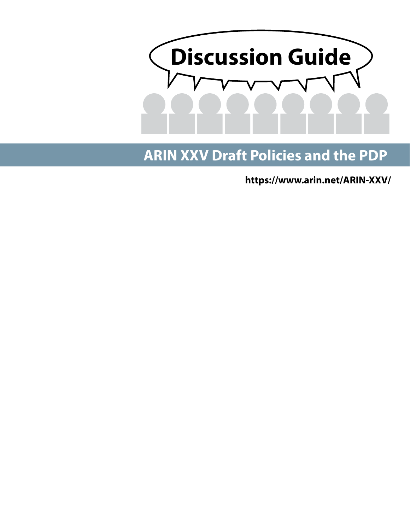

# **ARIN XXV Draft Policies and the PDP**

**https://www.arin.net/ARIN-XXV/**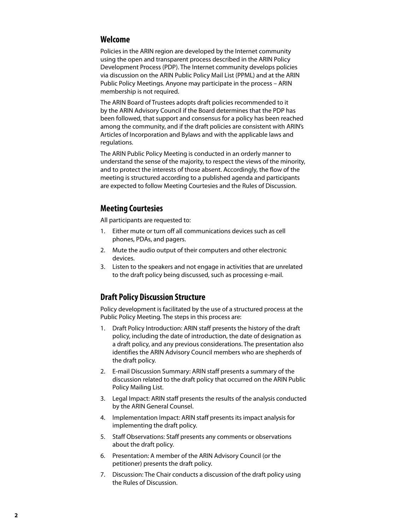# **Welcome**

Policies in the ARIN region are developed by the Internet community using the open and transparent process described in the ARIN Policy Development Process (PDP). The Internet community develops policies via discussion on the ARIN Public Policy Mail List (PPML) and at the ARIN Public Policy Meetings. Anyone may participate in the process – ARIN membership is not required.

The ARIN Board of Trustees adopts draft policies recommended to it by the ARIN Advisory Council if the Board determines that the PDP has been followed, that support and consensus for a policy has been reached among the community, and if the draft policies are consistent with ARIN's Articles of Incorporation and Bylaws and with the applicable laws and regulations.

The ARIN Public Policy Meeting is conducted in an orderly manner to understand the sense of the majority, to respect the views of the minority, and to protect the interests of those absent. Accordingly, the flow of the meeting is structured according to a published agenda and participants are expected to follow Meeting Courtesies and the Rules of Discussion.

# **Meeting Courtesies**

All participants are requested to:

- 1. Either mute or turn off all communications devices such as cell phones, PDAs, and pagers.
- 2. Mute the audio output of their computers and other electronic devices.
- 3. Listen to the speakers and not engage in activities that are unrelated to the draft policy being discussed, such as processing e-mail.

# **Draft Policy Discussion Structure**

Policy development is facilitated by the use of a structured process at the Public Policy Meeting. The steps in this process are:

- 1. Draft Policy Introduction: ARIN staff presents the history of the draft policy, including the date of introduction, the date of designation as a draft policy, and any previous considerations. The presentation also identifies the ARIN Advisory Council members who are shepherds of the draft policy.
- 2. E-mail Discussion Summary: ARIN staff presents a summary of the discussion related to the draft policy that occurred on the ARIN Public Policy Mailing List.
- 3. Legal Impact: ARIN staff presents the results of the analysis conducted by the ARIN General Counsel.
- 4. Implementation Impact: ARIN staff presents its impact analysis for implementing the draft policy.
- 5. Staff Observations: Staff presents any comments or observations about the draft policy.
- 6. Presentation: A member of the ARIN Advisory Council (or the petitioner) presents the draft policy.
- 7. Discussion: The Chair conducts a discussion of the draft policy using the Rules of Discussion.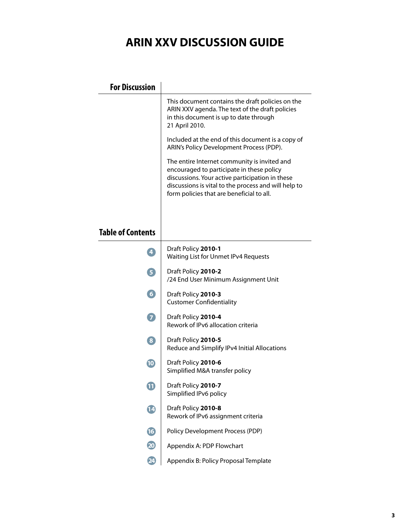# **ARIN XXV DISCUSSION GUIDE**

| <b>For Discussion</b>    |                                                                                                                                                                                                                                                   |
|--------------------------|---------------------------------------------------------------------------------------------------------------------------------------------------------------------------------------------------------------------------------------------------|
|                          | This document contains the draft policies on the<br>ARIN XXV agenda. The text of the draft policies<br>in this document is up to date through<br>21 April 2010.                                                                                   |
|                          | Included at the end of this document is a copy of<br>ARIN's Policy Development Process (PDP).                                                                                                                                                     |
|                          | The entire Internet community is invited and<br>encouraged to participate in these policy<br>discussions. Your active participation in these<br>discussions is vital to the process and will help to<br>form policies that are beneficial to all. |
|                          |                                                                                                                                                                                                                                                   |
| <b>Table of Contents</b> |                                                                                                                                                                                                                                                   |
| 4                        | Draft Policy 2010-1<br><b>Waiting List for Unmet IPv4 Requests</b>                                                                                                                                                                                |
| 6                        | Draft Policy 2010-2<br>/24 End User Minimum Assignment Unit                                                                                                                                                                                       |
| $\bullet$                | Draft Policy 2010-3<br><b>Customer Confidentiality</b>                                                                                                                                                                                            |
| 7                        | Draft Policy 2010-4<br>Rework of IPv6 allocation criteria                                                                                                                                                                                         |
| 8                        | Draft Policy 2010-5<br>Reduce and Simplify IPv4 Initial Allocations                                                                                                                                                                               |
| $\bullet$                | Draft Policy 2010-6<br>Simplified M&A transfer policy                                                                                                                                                                                             |
| $\bf \Phi$               | Draft Policy 2010-7<br>Simplified IPv6 policy                                                                                                                                                                                                     |
| $\mathbf{P}$             | Draft Policy 2010-8<br>Rework of IPv6 assignment criteria                                                                                                                                                                                         |
| 16                       | Policy Development Process (PDP)                                                                                                                                                                                                                  |
| 20                       | Appendix A: PDP Flowchart                                                                                                                                                                                                                         |
| 24                       | Appendix B: Policy Proposal Template                                                                                                                                                                                                              |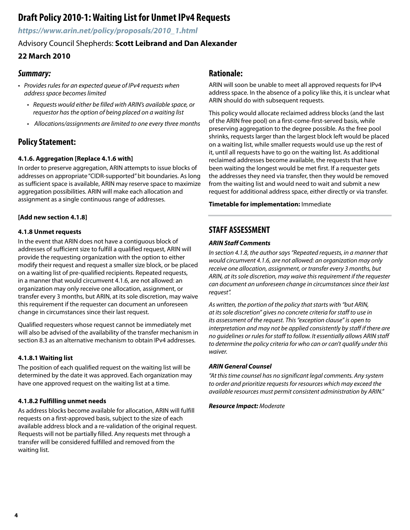# **Draft Policy 2010-1: Waiting List for Unmet IPv4 Requests**

*https://www.arin.net/policy/proposals/2010\_1.html*

# Advisory Council Shepherds: **Scott Leibrand and Dan Alexander**

# **22 March 2010**

# *Summary:*

- *• Providesrulesfor an expected queue of IPv4 requests when addressspace becomeslimited*
	- *• Requests would either be filled with ARIN's available space, or requestor hasthe option of being placed on a waiting list*
	- *• Allocations/assignments are limited to one every three months*

# **Policy Statement:**

# **4.1.6. Aggregation [Replace 4.1.6 with]**

In order to preserve aggregation, ARIN attempts to issue blocks of addresses on appropriate "CIDR-supported" bit boundaries. As long as sufficient space is available, ARIN may reserve space to maximize aggregation possibilities. ARIN will make each allocation and assignment as a single continuous range of addresses.

# **[Add new section 4.1.8]**

# **4.1.8 Unmet requests**

In the event that ARIN does not have a contiguous block of addresses of sufficient size to fulfill a qualified request, ARIN will provide the requesting organization with the option to either modify their request and request a smaller size block, or be placed on a waiting list of pre-qualified recipients. Repeated requests, in a manner that would circumvent 4.1.6, are not allowed: an organization may only receive one allocation, assignment, or transfer every 3 months, but ARIN, at its sole discretion, may waive this requirement if the requester can document an unforeseen change in circumstances since their last request.

Qualified requesters whose request cannot be immediately met will also be advised of the availability of the transfer mechanism in section 8.3 as an alternative mechanism to obtain IPv4 addresses.

# **4.1.8.1 Waiting list**

The position of each qualified request on the waiting list will be determined by the date it was approved. Each organization may have one approved request on the waiting list at a time.

# **4.1.8.2 Fulfilling unmet needs**

As address blocks become available for allocation, ARIN will fulfill requests on a first-approved basis, subject to the size of each available address block and a re-validation of the original request. Requests will not be partially filled. Any requests met through a transfer will be considered fulfilled and removed from the waiting list.

# **Rationale:**

ARIN will soon be unable to meet all approved requests for IPv4 address space. In the absence of a policy like this, it is unclear what ARIN should do with subsequent requests.

This policy would allocate reclaimed address blocks (and the last of the ARIN free pool) on a first-come-first-served basis, while preserving aggregation to the degree possible. As the free pool shrinks, requests larger than the largest block left would be placed on a waiting list, while smaller requests would use up the rest of it, until all requests have to go on the waiting list. As additional reclaimed addresses become available, the requests that have been waiting the longest would be met first. If a requester gets the addresses they need via transfer, then they would be removed from the waiting list and would need to wait and submit a new request for additional address space, either directly or via transfer.

# **Timetable for implementation:** Immediate

# **STAFF ASSESSMENT**

# *ARIN Staff Comments*

*In section 4.1.8, the authorsays"Repeated requests, in a manner that would circumvent 4.1.6, are not allowed: an organization may only receive one allocation, assignment, or transfer every 3 months, but ARIN, at itssole discretion, may waive thisrequirement if the requester can document an unforeseen change in circumstancessince their last request".*

*As written, the portion of the policy thatstarts with "but ARIN, at itssole discretion" gives no concrete criteria forstaff to use in its assessment of the request. This"exception clause" is open to interpretation and may not be applied consistently by staff if there are no guidelines or rulesforstaff to follow. It essentially allows ARIN staff to determine the policy criteria for who can or can't qualify under this waiver.*

# *ARIN General Counsel*

*"At thistime counsel has no significant legal comments. Any system to order and prioritize requestsfor resources which may exceed the available resources must permit consistent administration by ARIN."*

#### *Resource Impact: Moderate*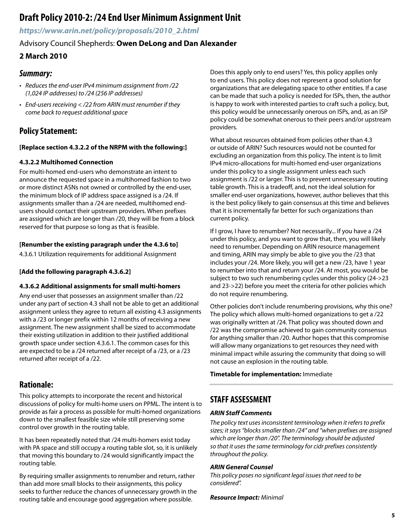# **Draft Policy 2010-2: /24 End User Minimum Assignment Unit**

*https://www.arin.net/policy/proposals/2010\_2.html*

# Advisory Council Shepherds: **Owen DeLong and Dan Alexander**

# **2 March 2010**

# *Summary:*

- *• Reducesthe end-user IPv4 minimum assignment from /22 (1,024 IP addresses) to /24 (256 IP addresses)*
- *• End-usersreceiving < /22 from ARIN must renumber if they come back to request additionalspace*

# **Policy Statement:**

#### **[Replace section 4.3.2.2 of the NRPM with the following:]**

## **4.3.2.2 Multihomed Connection**

For multi-homed end-users who demonstrate an intent to announce the requested space in a multihomed fashion to two or more distinct ASNs not owned or controlled by the end-user, the minimum block of IP address space assigned is a /24. If assignments smaller than a /24 are needed, multihomed endusers should contact their upstream providers. When prefixes are assigned which are longer than /20, they will be from a block reserved for that purpose so long as that is feasible.

#### **[Renumber the existing paragraph under the 4.3.6 to]**

4.3.6.1 Utilization requirements for additional Assignment

#### **[Add the following paragraph 4.3.6.2]**

#### **4.3.6.2 Additional assignments for small multi-homers**

Any end-user that possesses an assignment smaller than /22 under any part of section 4.3 shall not be able to get an additional assignment unless they agree to return all existing 4.3 assignments with a /23 or longer prefix within 12 months of receiving a new assignment. The new assignment shall be sized to accommodate their existing utilization in addition to their justified additional growth space under section 4.3.6.1. The common cases for this are expected to be a /24 returned after receipt of a /23, or a /23 returned after receipt of a /22.

# **Rationale:**

This policy attempts to incorporate the recent and historical discussions of policy for multi-home users on PPML. The intent is to provide as fair a process as possible for multi-homed organizations down to the smallest feasible size while still preserving some control over growth in the routing table.

It has been repeatedly noted that /24 multi-homers exist today with PA space and still occupy a routing table slot, so, it is unlikely that moving this boundary to /24 would significantly impact the routing table.

By requiring smaller assignments to renumber and return, rather than add more small blocks to their assignments, this policy seeks to further reduce the chances of unnecessary growth in the routing table and encourage good aggregation where possible.

Does this apply only to end users? Yes, this policy applies only to end users. This policy does not represent a good solution for organizations that are delegating space to other entities. If a case can be made that such a policy is needed for ISPs, then, the author is happy to work with interested parties to craft such a policy, but, this policy would be unnecessarily onerous on ISPs, and, as an ISP policy could be somewhat onerous to their peers and/or upstream providers.

What about resources obtained from policies other than 4.3 or outside of ARIN? Such resources would not be counted for excluding an organization from this policy. The intent is to limit IPv4 micro-allocations for multi-homed end-user organizations under this policy to a single assignment unless each such assignment is /22 or larger. This is to prevent unnecessary routing table growth. This is a tradeoff, and, not the ideal solution for smaller end-user organizations, however, author believes that this is the best policy likely to gain consensus at this time and believes that it is incrementally far better for such organizations than current policy.

If I grow, I have to renumber? Not necessarily... If you have a /24 under this policy, and you want to grow that, then, you will likely need to renumber. Depending on ARIN resource management and timing, ARIN may simply be able to give you the /23 that includes your /24. More likely, you will get a new /23, have 1 year to renumber into that and return your /24. At most, you would be subject to two such renumbering cycles under this policy (24->23 and 23->22) before you meet the criteria for other policies which do not require renumbering.

Other policies don't include renumbering provisions, why this one? The policy which allows multi-homed organizations to get a /22 was originally written at /24. That policy was shouted down and /22 was the compromise achieved to gain community consensus for anything smaller than /20. Author hopes that this compromise will allow many organizations to get resources they need with minimal impact while assuring the community that doing so will not cause an explosion in the routing table.

#### **Timetable for implementation:** Immediate

# **STAFF ASSESSMENT**

#### *ARIN Staff Comments*

*The policy text usesinconsistent terminology when it refersto prefix sizes; itsays"blockssmaller than /24" and "when prefixes are assigned which are longer than /20". The terminology should be adjusted so that it usesthe same terminology for cidr prefixes consistently throughout the policy.*

#### *ARIN General Counsel*

*This policy poses no significant legal issuesthat need to be considered".*

#### *Resource Impact: Minimal*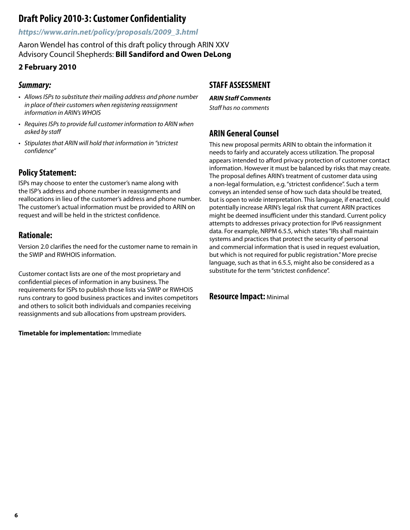# **Draft Policy 2010-3: Customer Confidentiality**

# *https://www.arin.net/policy/proposals/2009\_3.html*

Aaron Wendel has control of this draft policy through ARIN XXV Advisory Council Shepherds: **Bill Sandiford and Owen DeLong**

# **2 February 2010**

# *Summary:*

- *• AllowsISPsto substitute their mailing address and phone number in place of their customers when registering reassignment information in ARIN's WHOIS*
- *• RequiresISPsto provide full customer information to ARIN when asked by staff*
- *• Stipulatesthat ARIN will hold that information in "strictest confidence"*

# **Policy Statement:**

ISPs may choose to enter the customer's name along with the ISP's address and phone number in reassignments and reallocations in lieu of the customer's address and phone number. The customer's actual information must be provided to ARIN on request and will be held in the strictest confidence.

# **Rationale:**

Version 2.0 clarifies the need for the customer name to remain in the SWIP and RWHOIS information.

Customer contact lists are one of the most proprietary and confidential pieces of information in any business. The requirements for ISPs to publish those lists via SWIP or RWHOIS runs contrary to good business practices and invites competitors and others to solicit both individuals and companies receiving reassignments and sub allocations from upstream providers.

# **Timetable for implementation:** Immediate

# **STAFF ASSESSMENT**

*ARIN Staff Comments Staff has no comments*

# **ARIN General Counsel**

This new proposal permits ARIN to obtain the information it needs to fairly and accurately access utilization. The proposal appears intended to afford privacy protection of customer contact information. However it must be balanced by risks that may create. The proposal defines ARIN's treatment of customer data using a non-legal formulation, e.g. "strictest confidence". Such a term conveys an intended sense of how such data should be treated, but is open to wide interpretation. This language, if enacted, could potentially increase ARIN's legal risk that current ARIN practices might be deemed insufficient under this standard. Current policy attempts to addresses privacy protection for IPv6 reassignment data. For example, NRPM 6.5.5, which states "IRs shall maintain systems and practices that protect the security of personal and commercial information that is used in request evaluation, but which is not required for public registration." More precise language, such as that in 6.5.5, might also be considered as a substitute for the term "strictest confidence".

**Resource Impact:** Minimal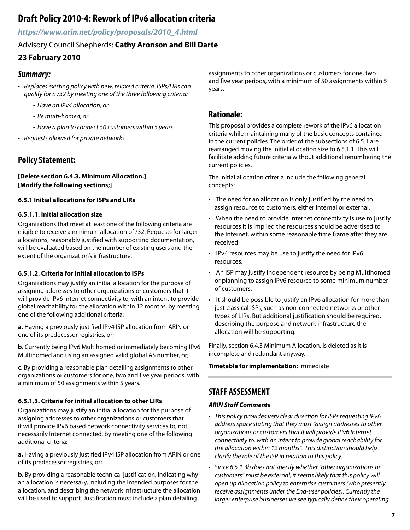# **Draft Policy 2010-4: Rework of IPv6 allocation criteria**

*https://www.arin.net/policy/proposals/2010\_4.html*

# Advisory Council Shepherds: **Cathy Aronson and Bill Darte**

# **23 February 2010**

# *Summary:*

- *• Replaces existing policy with new, relaxed criteria. ISPs/LIRs can qualify for a /32 by meeting one of the three following criteria:*
	- *• Have an IPv4 allocation, or*
	- *• Be multi-homed, or*
	- *• Have a plan to connect 50 customers within 5 years*
- *• Requests allowed for private networks*

# **Policy Statement:**

**[Delete section 6.4.3. Minimum Allocation.] [Modify the following sections;]**

## **6.5.1 Initial allocations for ISPs and LIRs**

## **6.5.1.1. Initial allocation size**

Organizations that meet at least one of the following criteria are eligible to receive a minimum allocation of /32. Requests for larger allocations, reasonably justified with supporting documentation, will be evaluated based on the number of existing users and the extent of the organization's infrastructure.

# **6.5.1.2. Criteria for initial allocation to ISPs**

Organizations may justify an initial allocation for the purpose of assigning addresses to other organizations or customers that it will provide IPv6 Internet connectivity to, with an intent to provide global reachability for the allocation within 12 months, by meeting one of the following additional criteria:

**a.** Having a previously justified IPv4 ISP allocation from ARIN or one of its predecessor registries, or;

**b.** Currently being IPv6 Multihomed or immediately becoming IPv6 Multihomed and using an assigned valid global AS number, or;

**c**. By providing a reasonable plan detailing assignments to other organizations or customers for one, two and five year periods, with a minimum of 50 assignments within 5 years.

# **6.5.1.3. Criteria for initial allocation to other LIRs**

Organizations may justify an initial allocation for the purpose of assigning addresses to other organizations or customers that it will provide IPv6 based network connectivity services to, not necessarily Internet connected, by meeting one of the following additional criteria:

**a.** Having a previously justified IPv4 ISP allocation from ARIN or one of its predecessor registries, or;

**b.** By providing a reasonable technical justification, indicating why an allocation is necessary, including the intended purposes for the allocation, and describing the network infrastructure the allocation will be used to support. Justification must include a plan detailing

assignments to other organizations or customers for one, two and five year periods, with a minimum of 50 assignments within 5 years.

# **Rationale:**

This proposal provides a complete rework of the IPv6 allocation criteria while maintaining many of the basic concepts contained in the current policies. The order of the subsections of 6.5.1 are rearranged moving the initial allocation size to 6.5.1.1. This will facilitate adding future criteria without additional renumbering the current policies.

The initial allocation criteria include the following general concepts:

- The need for an allocation is only justified by the need to assign resource to customers, either internal or external.
- When the need to provide Internet connectivity is use to justify resources it is implied the resources should be advertised to the Internet, within some reasonable time frame after they are received.
- IPv4 resources may be use to justify the need for IPv6 resources.
- An ISP may justify independent resource by being Multihomed or planning to assign IPv6 resource to some minimum number of customers.
- It should be possible to justify an IPv6 allocation for more than just classical ISPs, such as non-connected networks or other types of LIRs. But additional justification should be required, describing the purpose and network infrastructure the allocation will be supporting.

Finally, section 6.4.3 Minimum Allocation, is deleted as it is incomplete and redundant anyway.

# **Timetable for implementation:** Immediate

# **STAFF ASSESSMENT**

#### *ARIN Staff Comments*

- *• This policy provides very clear direction for ISPsrequesting IPv6 addressspace stating that they must "assign addressesto other organizations or customersthat it will provide IPv6 Internet connectivity to, with an intent to provide global reachability for the allocation within 12 months". This distinction should help clarify the role of the ISP in relation to this policy.*
- *• Since 6.5.1.3b does notspecify whether "other organizations or customers" must be external, itseemslikely that this policy will open up allocation policy to enterprise customers(who presently receive assignments under the End-user policies). Currently the larger enterprise businesses we see typically define their operating*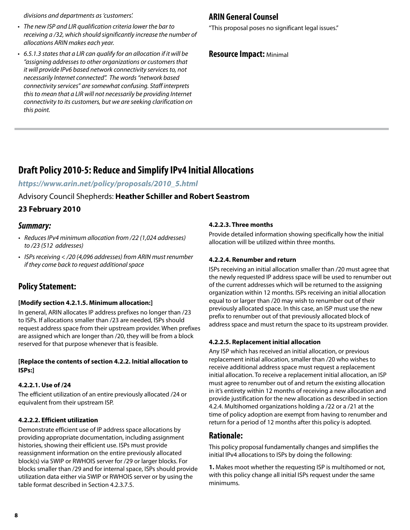*divisions and departments as'customers'.*

- *• The new ISP and LIR qualification criteria lower the bar to receiving a /32, which should significantly increase the number of allocations ARIN makes each year.*
- $\cdot$  6.5.1.3 *states that a LIR can qualify for an allocation if it will be "assigning addressesto other organizations or customersthat it will provide IPv6 based network connectivity servicesto, not necessarily Internet connected". The words"network based connectivity services" are somewhat confusing. Staff interprets thisto mean that a LIR will not necessarily be providing Internet connectivity to its customers, but we are seeking clarification on this point.*

# **ARIN General Counsel**

"This proposal poses no significant legal issues."

**Resource Impact:** Minimal

# **Draft Policy 2010-5: Reduce and Simplify IPv4 Initial Allocations**

#### *https://www.arin.net/policy/proposals/2010\_5.html*

## Advisory Council Shepherds: **Heather Schiller and Robert Seastrom**

# **23 February 2010**

## *Summary:*

- *• ReducesIPv4 minimum allocation from /22 (1,024 addresses) to /23 (512 addresses)*
- *• ISPsreceiving < /20 (4,096 addresses) from ARIN must renumber if they come back to request additionalspace*

# **Policy Statement:**

#### **[Modify section 4.2.1.5. Minimum allocation:]**

In general, ARIN allocates IP address prefixes no longer than /23 to ISPs. If allocations smaller than /23 are needed, ISPs should request address space from their upstream provider. When prefixes are assigned which are longer than /20, they will be from a block reserved for that purpose whenever that is feasible.

#### **[Replace the contents of section 4.2.2. Initial allocation to ISPs:]**

#### **4.2.2.1. Use of /24**

The efficient utilization of an entire previously allocated /24 or equivalent from their upstream ISP.

#### **4.2.2.2. Efficient utilization**

Demonstrate efficient use of IP address space allocations by providing appropriate documentation, including assignment histories, showing their efficient use. ISPs must provide reassignment information on the entire previously allocated block(s) via SWIP or RWHOIS server for /29 or larger blocks. For blocks smaller than /29 and for internal space, ISPs should provide utilization data either via SWIP or RWHOIS server or by using the table format described in Section 4.2.3.7.5.

#### **4.2.2.3. Three months**

Provide detailed information showing specifically how the initial allocation will be utilized within three months.

#### **4.2.2.4. Renumber and return**

ISPs receiving an initial allocation smaller than /20 must agree that the newly requested IP address space will be used to renumber out of the current addresses which will be returned to the assigning organization within 12 months. ISPs receiving an initial allocation equal to or larger than /20 may wish to renumber out of their previously allocated space. In this case, an ISP must use the new prefix to renumber out of that previously allocated block of address space and must return the space to its upstream provider.

#### **4.2.2.5. Replacement initial allocation**

Any ISP which has received an initial allocation, or previous replacement initial allocation, smaller than /20 who wishes to receive additional address space must request a replacement initial allocation. To receive a replacement initial allocation, an ISP must agree to renumber out of and return the existing allocation in it's entirety within 12 months of receiving a new allocation and provide justification for the new allocation as described in section 4.2.4. Multihomed organizations holding a /22 or a /21 at the time of policy adoption are exempt from having to renumber and return for a period of 12 months after this policy is adopted.

# **Rationale:**

This policy proposal fundamentally changes and simplifies the initial IPv4 allocations to ISPs by doing the following:

**1.** Makes moot whether the requesting ISP is multihomed or not, with this policy change all initial ISPs request under the same minimums.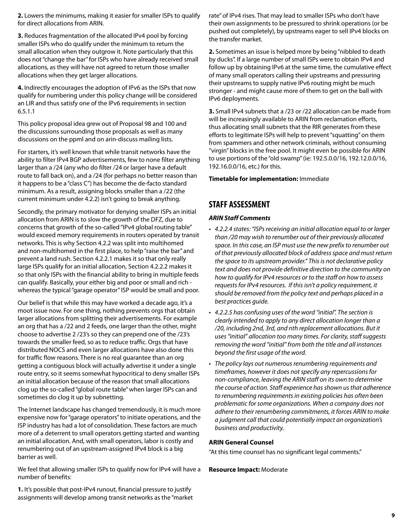**2.** Lowers the minimums, making it easier for smaller ISPs to qualify for direct allocations from ARIN.

**3.** Reduces fragmentation of the allocated IPv4 pool by forcing smaller ISPs who do qualify under the minimum to return the small allocation when they outgrow it. Note particularly that this does not "change the bar" for ISPs who have already received small allocations, as they will have not agreed to return those smaller allocations when they get larger allocations.

**4.** Indirectly encourages the adoption of IPv6 as the ISPs that now qualify for numbering under this policy change will be considered an LIR and thus satisfy one of the IPv6 requirements in section 6.5.1.1

This policy proposal idea grew out of Proposal 98 and 100 and the discussions surrounding those proposals as well as many discussions on the ppml and on arin-discuss mailing lists.

For starters, it's well known that while transit networks have the ability to filter IPv4 BGP advertisements, few to none filter anything larger than a /24 (any who do filter /24 or larger have a default route to fall back on), and a /24 (for perhaps no better reason than it happens to be a "class C") has become the de-facto standard minimum. As a result, assigning blocks smaller than a /22 (the current minimum under 4.2.2) isn't going to break anything.

Secondly, the primary motivator for denying smaller ISPs an initial allocation from ARIN is to slow the growth of the DFZ, due to concerns that growth of the so-called "IPv4 global routing table" would exceed memory requirements in routers operated by transit networks. This is why Section 4.2.2 was split into multihomed and non-multihomed in the first place, to help "raise the bar" and prevent a land rush. Section 4.2.2.1 makes it so that only really large ISPs qualify for an initial allocation, Section 4.2.2.2 makes it so that only ISPs with the financial ability to bring in multiple feeds can qualify. Basically, your either big and poor or small and rich whereas the typical "garage operator" ISP would be small and poor.

Our belief is that while this may have worked a decade ago, it's a moot issue now. For one thing, nothing prevents orgs that obtain larger allocations from splitting their advertisements. For example an org that has a /22 and 2 feeds, one larger than the other, might choose to advertise 2 /23's so they can prepend one of the /23's towards the smaller feed, so as to reduce traffic. Orgs that have distributed NOCS and even larger allocations have also done this for traffic flow reasons. There is no real guarantee than an org getting a contiguous block will actually advertise it under a single route entry, so it seems somewhat hypocritical to deny smaller ISPs an initial allocation because of the reason that small allocations clog up the so-called "global route table" when larger ISPs can and sometimes do clog it up by subnetting.

The Internet landscape has changed tremendously, it is much more expensive now for "garage operators" to initiate operations, and the ISP industry has had a lot of consolidation. These factors are much more of a deterrent to small operators getting started and wanting an initial allocation. And, with small operators, labor is costly and renumbering out of an upstream-assigned IPv4 block is a big barrier as well.

We feel that allowing smaller ISPs to qualify now for IPv4 will have a number of benefits:

**1.** It's possible that post-IPv4 runout, financial pressure to justify assignments will develop among transit networks as the "market rate" of IPv4 rises. That may lead to smaller ISPs who don't have their own assignments to be pressured to shrink operations (or be pushed out completely), by upstreams eager to sell IPv4 blocks on the transfer market.

**2.** Sometimes an issue is helped more by being "nibbled to death by ducks". If a large number of small ISPs were to obtain IPv4 and follow up by obtaining IPv6 at the same time, the cumulative effect of many small operators calling their upstreams and pressuring their upstreams to supply native IPv6 routing might be much stronger - and might cause more of them to get on the ball with IPv6 deployments.

**3.** Small IPv4 subnets that a /23 or /22 allocation can be made from will be increasingly available to ARIN from reclamation efforts, thus allocating small subnets that the RIR generates from these efforts to legitimate ISPs will help to prevent "squatting" on them from spammers and other network criminals, without consuming "virgin" blocks in the free pool. It might even be possible for ARIN to use portions of the "old swamp" (ie: 192.5.0.0/16, 192.12.0.0/16, 192.16.0.0/16, etc.) for this.

#### **Timetable for implementation:** Immediate

# **STAFF ASSESSMENT**

#### *ARIN Staff Comments*

- *• 4.2.2.4 states: "ISPsreceiving an initial allocation equal to or larger than /20 may wish to renumber out of their previously allocated space. In this case, an ISP must use the new prefix to renumber out of that previously allocated block of addressspace and must return the space to its upstream provider." Thisis not declarative policy text and does not provide definitive direction to the community on how to qualify for IPv4 resources or to the staff on how to assess requestsfor IPv4 resources. If thisisn't a policy requirement, it should be removed from the policy text and perhaps placed in a best practices guide.*
- *• 4.2.2.5 has confusing uses of the word "initial". The section is clearly intended to apply to any direct allocation longer than a /20, including 2nd, 3rd, and nth replacement allocations. But it uses"initial" allocation too many times. For clarity,staffsuggests removing the word "initial" from both the title and all instances beyond the first usage of the word.*
- *• The policy lays out numerousrenumbering requirements and timeframes, however it does notspecify any repercussionsfor non-compliance, leaving the ARIN staff on its own to determine the course of action. Staff experience hasshown usthat adherence to renumbering requirementsin existing policies has often been problematic forsome organizations. When a company does not adhere to their renumbering commitments, it forces ARIN to make a judgment call that could potentially impact an organization's business and productivity.*

#### **ARIN General Counsel**

"At this time counsel has no significant legal comments."

#### **Resource Impact:** Moderate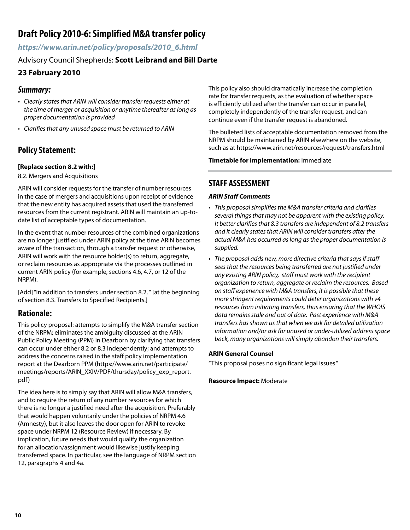# **Draft Policy 2010-6: Simplified M&A transfer policy**

*https://www.arin.net/policy/proposals/2010\_6.html*

# Advisory Council Shepherds: **Scott Leibrand and Bill Darte**

# **23 February 2010**

# *Summary:*

- $\cdot$  *Clearly states that ARIN will consider transfer requests either at the time of merger or acquisition or anytime thereafter aslong as proper documentation is provided*
- *• Clarifiesthat any unused space must be returned to ARIN*

# **Policy Statement:**

# **[Replace section 8.2 with:]**

8.2. Mergers and Acquisitions

ARIN will consider requests for the transfer of number resources in the case of mergers and acquisitions upon receipt of evidence that the new entity has acquired assets that used the transferred resources from the current registrant. ARIN will maintain an up-todate list of acceptable types of documentation.

In the event that number resources of the combined organizations are no longer justified under ARIN policy at the time ARIN becomes aware of the transaction, through a transfer request or otherwise, ARIN will work with the resource holder(s) to return, aggregate, or reclaim resources as appropriate via the processes outlined in current ARIN policy (for example, sections 4.6, 4.7, or 12 of the NRPM).

[Add] "In addition to transfers under section 8.2," [at the beginning of section 8.3. Transfers to Specified Recipients.]

# **Rationale:**

This policy proposal: attempts to simplify the M&A transfer section of the NRPM; eliminates the ambiguity discussed at the ARIN Public Policy Meeting (PPM) in Dearborn by clarifying that transfers can occur under either 8.2 or 8.3 independently; and attempts to address the concerns raised in the staff policy implementation report at the Dearborn PPM (https://www.arin.net/participate/ meetings/reports/ARIN\_XXIV/PDF/thursday/policy\_exp\_report. pdf)

The idea here is to simply say that ARIN will allow M&A transfers, and to require the return of any number resources for which there is no longer a justified need after the acquisition. Preferably that would happen voluntarily under the policies of NRPM 4.6 (Amnesty), but it also leaves the door open for ARIN to revoke space under NRPM 12 (Resource Review) if necessary. By implication, future needs that would qualify the organization for an allocation/assignment would likewise justify keeping transferred space. In particular, see the language of NRPM section 12, paragraphs 4 and 4a.

This policy also should dramatically increase the completion rate for transfer requests, as the evaluation of whether space is efficiently utilized after the transfer can occur in parallel, completely independently of the transfer request, and can continue even if the transfer request is abandoned.

The bulleted lists of acceptable documentation removed from the NRPM should be maintained by ARIN elsewhere on the website, such as at https://www.arin.net/resources/request/transfers.html

**Timetable for implementation:** Immediate

# **STAFF ASSESSMENT**

## *ARIN Staff Comments*

- *• This proposalsimplifiesthe M&A transfer criteria and clarifies several thingsthat may not be apparent with the existing policy. It better clarifiesthat 8.3 transfers are independent of 8.2 transfers and it clearly statesthat ARIN will consider transfers after the actual M&A has occurred aslong asthe proper documentation is supplied.*
- *• The proposal adds new, more directive criteria thatsaysifstaff seesthat the resources being transferred are not justified under any existing ARIN policy, staff must work with the recipient organization to return, aggregate or reclaim the resources. Based on staff experience with M&A transfers, it is possible that these more stringent requirements could deter organizations with v4 resourcesfrom initiating transfers, thus ensuring that the WHOIS data remainsstale and out of date. Past experience with M&A transfers hasshown usthat when we ask for detailed utilization information and/or ask for unused or under-utilized addressspace back, many organizations willsimply abandon their transfers.*

# **ARIN General Counsel**

"This proposal poses no significant legal issues."

#### **Resource Impact:** Moderate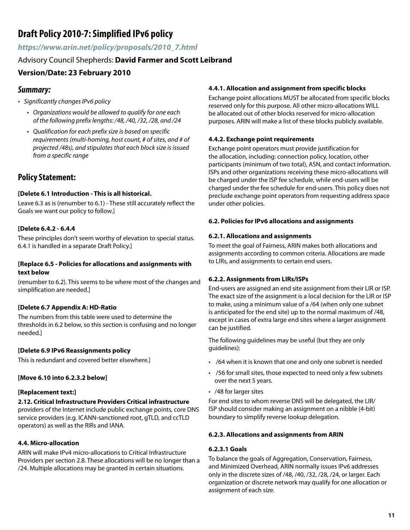# **Draft Policy 2010-7: Simplified IPv6 policy**

*https://www.arin.net/policy/proposals/2010\_7.html*

# Advisory Council Shepherds: **David Farmer and Scott Leibrand**

# **Version/Date: 23 February 2010**

# *Summary:*

- *• Significantly changesIPv6 policy*
	- *• Organizations would be allowed to qualify for one each of the following prefix lengths: /48, /40, /32, /28, and /24*
	- *• Qualification for each prefix size is based on specific requirements (multi-homing, host count, # of sites, and # of projected /48s), and stipulatesthat each block size isissued from a specific range*

# **Policy Statement:**

#### **[Delete 6.1 Introduction - This is all historical.**

Leave 6.3 as is (renumber to 6.1) - These still accurately reflect the Goals we want our policy to follow.]

## **[Delete 6.4.2 - 6.4.4**

These principles don't seem worthy of elevation to special status. 6.4.1 is handled in a separate Draft Policy.]

## **[Replace 6.5 - Policies for allocations and assignments with text below**

(renumber to 6.2). This seems to be where most of the changes and simplification are needed.]

#### **[Delete 6.7 Appendix A: HD-Ratio**

The numbers from this table were used to determine the thresholds in 6.2 below, so this section is confusing and no longer needed.]

#### **[Delete 6.9 IPv6 Reassignments policy**

This is redundant and covered better elsewhere.]

#### **[Move 6.10 into 6.2.3.2 below]**

#### **[Replacement text:]**

# **2.12. Critical Infrastructure Providers Critical infrastructure**

providers of the Internet include public exchange points, core DNS service providers (e.g. ICANN-sanctioned root, gTLD, and ccTLD operators) as well as the RIRs and IANA.

# **4.4. Micro-allocation**

ARIN will make IPv4 micro-allocations to Critical Infrastructure Providers per section 2.8. These allocations will be no longer than a /24. Multiple allocations may be granted in certain situations.

# **4.4.1. Allocation and assignment from specific blocks**

Exchange point allocations MUST be allocated from specific blocks reserved only for this purpose. All other micro-allocations WILL be allocated out of other blocks reserved for micro-allocation purposes. ARIN will make a list of these blocks publicly available.

# **4.4.2. Exchange point requirements**

Exchange point operators must provide justification for the allocation, including: connection policy, location, other participants (minimum of two total), ASN, and contact information. ISPs and other organizations receiving these micro-allocations will be charged under the ISP fee schedule, while end-users will be charged under the fee schedule for end-users. This policy does not preclude exchange point operators from requesting address space under other policies.

# **6.2. Policies for IPv6 allocations and assignments**

# **6.2.1. Allocations and assignments**

To meet the goal of Fairness, ARIN makes both allocations and assignments according to common criteria. Allocations are made to LIRs, and assignments to certain end users.

# **6.2.2. Assignments from LIRs/ISPs**

End-users are assigned an end site assignment from their LIR or ISP. The exact size of the assignment is a local decision for the LIR or ISP to make, using a minimum value of a /64 (when only one subnet is anticipated for the end site) up to the normal maximum of /48, except in cases of extra large end sites where a larger assignment can be justified.

The following guidelines may be useful (but they are only quidelines):

- /64 when it is known that one and only one subnet is needed
- /56 for small sites, those expected to need only a few subnets over the next 5 years.
- /48 for larger sites

For end sites to whom reverse DNS will be delegated, the LIR/ ISP should consider making an assignment on a nibble (4-bit) boundary to simplify reverse lookup delegation.

# **6.2.3. Allocations and assignments from ARIN**

# **6.2.3.1 Goals**

To balance the goals of Aggregation, Conservation, Fairness, and Minimized Overhead, ARIN normally issues IPv6 addresses only in the discrete sizes of /48, /40, /32, /28, /24, or larger. Each organization or discrete network may qualify for one allocation or assignment of each size.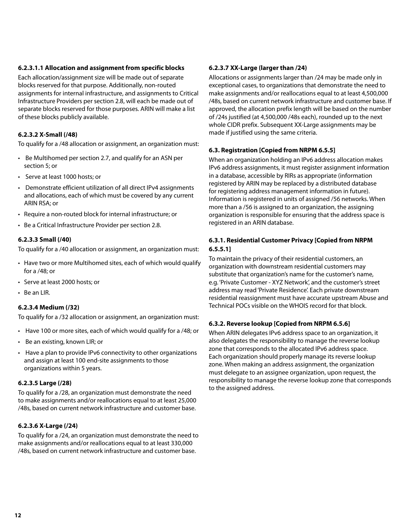#### **6.2.3.1.1 Allocation and assignment from specific blocks**

Each allocation/assignment size will be made out of separate blocks reserved for that purpose. Additionally, non-routed assignments for internal infrastructure, and assignments to Critical Infrastructure Providers per section 2.8, will each be made out of separate blocks reserved for those purposes. ARIN will make a list of these blocks publicly available.

#### **6.2.3.2 X-Small (/48)**

To qualify for a /48 allocation or assignment, an organization must:

- Be Multihomed per section 2.7, and qualify for an ASN per section 5; or
- Serve at least 1000 hosts; or
- Demonstrate efficient utilization of all direct IPv4 assignments and allocations, each of which must be covered by any current ARIN RSA; or
- Require a non-routed block for internal infrastructure; or
- Be a Critical Infrastructure Provider per section 2.8.

#### **6.2.3.3 Small (/40)**

To qualify for a /40 allocation or assignment, an organization must:

- Have two or more Multihomed sites, each of which would qualify for a /48; or
- Serve at least 2000 hosts; or
- Be an LIR.

#### **6.2.3.4 Medium (/32)**

To qualify for a /32 allocation or assignment, an organization must:

- Have 100 or more sites, each of which would qualify for a /48; or
- Be an existing, known LIR; or
- Have a plan to provide IPv6 connectivity to other organizations and assign at least 100 end-site assignments to those organizations within 5 years.

#### **6.2.3.5 Large (/28)**

To qualify for a /28, an organization must demonstrate the need to make assignments and/or reallocations equal to at least 25,000 /48s, based on current network infrastructure and customer base.

#### **6.2.3.6 X-Large (/24)**

To qualify for a /24, an organization must demonstrate the need to make assignments and/or reallocations equal to at least 330,000 /48s, based on current network infrastructure and customer base.

#### **6.2.3.7 XX-Large (larger than /24)**

Allocations or assignments larger than /24 may be made only in exceptional cases, to organizations that demonstrate the need to make assignments and/or reallocations equal to at least 4,500,000 /48s, based on current network infrastructure and customer base. If approved, the allocation prefix length will be based on the number of /24s justified (at 4,500,000 /48s each), rounded up to the next whole CIDR prefix. Subsequent XX-Large assignments may be made if justified using the same criteria.

#### **6.3. Registration [Copied from NRPM 6.5.5]**

When an organization holding an IPv6 address allocation makes IPv6 address assignments, it must register assignment information in a database, accessible by RIRs as appropriate (information registered by ARIN may be replaced by a distributed database for registering address management information in future). Information is registered in units of assigned /56 networks. When more than a /56 is assigned to an organization, the assigning organization is responsible for ensuring that the address space is registered in an ARIN database.

#### **6.3.1. Residential Customer Privacy [Copied from NRPM 6.5.5.1]**

To maintain the privacy of their residential customers, an organization with downstream residential customers may substitute that organization's name for the customer's name, e.g. 'Private Customer - XYZ Network', and the customer's street address may read 'Private Residence'. Each private downstream residential reassignment must have accurate upstream Abuse and Technical POCs visible on the WHOIS record for that block.

#### **6.3.2. Reverse lookup [Copied from NRPM 6.5.6]**

When ARIN delegates IPv6 address space to an organization, it also delegates the responsibility to manage the reverse lookup zone that corresponds to the allocated IPv6 address space. Each organization should properly manage its reverse lookup zone. When making an address assignment, the organization must delegate to an assignee organization, upon request, the responsibility to manage the reverse lookup zone that corresponds to the assigned address.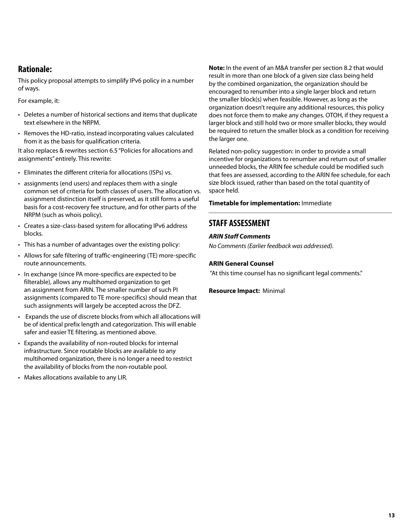# **Rationale:**

This policy proposal attempts to simplify IPv6 policy in a number of ways.

For example, it:

- Deletes a number of historical sections and items that duplicate text elsewhere in the NRPM.
- Removes the HD-ratio, instead incorporating values calculated from it as the basis for qualification criteria.

It also replaces & rewrites section 6.5 "Policies for allocations and assignments" entirely. This rewrite:

- Eliminates the different criteria for allocations (ISPs) vs.
- assignments (end users) and replaces them with a single common set of criteria for both classes of users. The allocation vs. assignment distinction itself is preserved, as it still forms a useful basis for a cost-recovery fee structure, and for other parts of the NRPM (such as whois policy).
- Creates a size-class-based system for allocating IPv6 address blocks.
- This has a number of advantages over the existing policy:
- Allows for safe filtering of traffic-engineering (TE) more-specific route announcements.
- In exchange (since PA more-specifics are expected to be filterable), allows any multihomed organization to get an assignment from ARIN. The smaller number of such PI assignments (compared to TE more-specifics) should mean that such assignments will largely be accepted across the DFZ.
- Expands the use of discrete blocks from which all allocations will be of identical prefix length and categorization. This will enable safer and easier TE filtering, as mentioned above.
- Expands the availability of non-routed blocks for internal infrastructure. Since routable blocks are available to any multihomed organization, there is no longer a need to restrict the availability of blocks from the non-routable pool.
- Makes allocations available to any LIR.

**Note:** In the event of an M&A transfer per section 8.2 that would result in more than one block of a given size class being held by the combined organization, the organization should be encouraged to renumber into a single larger block and return the smaller block(s) when feasible. However, as long as the organization doesn't require any additional resources, this policy does not force them to make any changes. OTOH, if they request a larger block and still hold two or more smaller blocks, they would be required to return the smaller block as a condition for receiving the larger one.

Related non-policy suggestion: in order to provide a small incentive for organizations to renumber and return out of smaller unneeded blocks, the ARIN fee schedule could be modified such that fees are assessed, according to the ARIN fee schedule, for each size block issued, rather than based on the total quantity of space held.

#### **Timetable for implementation:** Immediate

# **STAFF ASSESSMENT**

#### *ARIN Staff Comments*

*No Comments(Earlier feedback was addressed).*

#### **ARIN General Counsel**

"At this time counsel has no significant legal comments."

**Resource Impact:** Minimal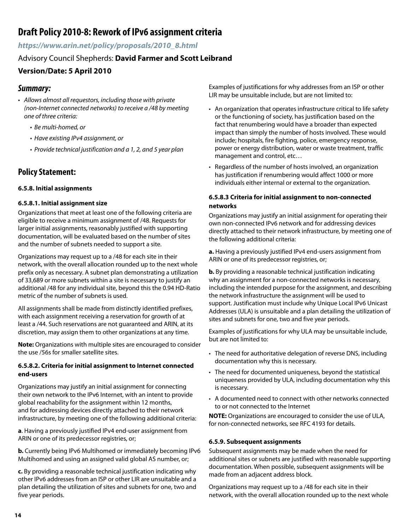# **Draft Policy 2010-8: Rework of IPv6 assignment criteria**

*https://www.arin.net/policy/proposals/2010\_8.html*

# Advisory Council Shepherds: **David Farmer and Scott Leibrand**

# **Version/Date: 5 April 2010**

# *Summary:*

- *• Allows almost all requestors, including those with private (non-Internet connected networks) to receive a /48 by meeting one of three criteria:*
	- *• Be multi-homed, or*
	- *• Have existing IPv4 assignment, or*
	- *• Provide technical justification and a 1, 2, and 5 year plan*

# **Policy Statement:**

## **6.5.8. Initial assignments**

## **6.5.8.1. Initial assignment size**

Organizations that meet at least one of the following criteria are eligible to receive a minimum assignment of /48. Requests for larger initial assignments, reasonably justified with supporting documentation, will be evaluated based on the number of sites and the number of subnets needed to support a site.

Organizations may request up to a /48 for each site in their network, with the overall allocation rounded up to the next whole prefix only as necessary. A subnet plan demonstrating a utilization of 33,689 or more subnets within a site is necessary to justify an additional /48 for any individual site, beyond this the 0.94 HD-Ratio metric of the number of subnets is used.

All assignments shall be made from distinctly identified prefixes, with each assignment receiving a reservation for growth of at least a /44. Such reservations are not guaranteed and ARIN, at its discretion, may assign them to other organizations at any time.

**Note:** Organizations with multiple sites are encouraged to consider the use /56s for smaller satellite sites.

#### **6.5.8.2. Criteria for initial assignment to Internet connected end-users**

Organizations may justify an initial assignment for connecting their own network to the IPv6 Internet, with an intent to provide global reachability for the assignment within 12 months, and for addressing devices directly attached to their network infrastructure, by meeting one of the following additional criteria:

**a**. Having a previously justified IPv4 end-user assignment from ARIN or one of its predecessor registries, or;

**b.** Currently being IPv6 Multihomed or immediately becoming IPv6 Multihomed and using an assigned valid global AS number, or;

**c.** By providing a reasonable technical justification indicating why other IPv6 addresses from an ISP or other LIR are unsuitable and a plan detailing the utilization of sites and subnets for one, two and five year periods.

Examples of justifications for why addresses from an ISP or other LIR may be unsuitable include, but are not limited to:

- An organization that operates infrastructure critical to life safety or the functioning of society, has justification based on the fact that renumbering would have a broader than expected impact than simply the number of hosts involved. These would include; hospitals, fire fighting, police, emergency response, power or energy distribution, water or waste treatment, traffic management and control, etc…
- Regardless of the number of hosts involved, an organization has justification if renumbering would affect 1000 or more individuals either internal or external to the organization.

### **6.5.8.3 Criteria for initial assignment to non-connected networks**

Organizations may justify an initial assignment for operating their own non-connected IPv6 network and for addressing devices directly attached to their network infrastructure, by meeting one of the following additional criteria:

**a.** Having a previously justified IPv4 end-users assignment from ARIN or one of its predecessor registries, or;

**b.** By providing a reasonable technical justification indicating why an assignment for a non-connected networks is necessary, including the intended purpose for the assignment, and describing the network infrastructure the assignment will be used to support. Justification must include why Unique Local IPv6 Unicast Addresses (ULA) is unsuitable and a plan detailing the utilization of sites and subnets for one, two and five year periods.

Examples of justifications for why ULA may be unsuitable include, but are not limited to:

- The need for authoritative delegation of reverse DNS, including documentation why this is necessary.
- The need for documented uniqueness, beyond the statistical uniqueness provided by ULA, including documentation why this is necessary.
- A documented need to connect with other networks connected to or not connected to the Internet

**NOTE:** Organizations are encouraged to consider the use of ULA, for non-connected networks, see RFC 4193 for details.

#### **6.5.9. Subsequent assignments**

Subsequent assignments may be made when the need for additional sites or subnets are justified with reasonable supporting documentation. When possible, subsequent assignments will be made from an adjacent address block.

Organizations may request up to a /48 for each site in their network, with the overall allocation rounded up to the next whole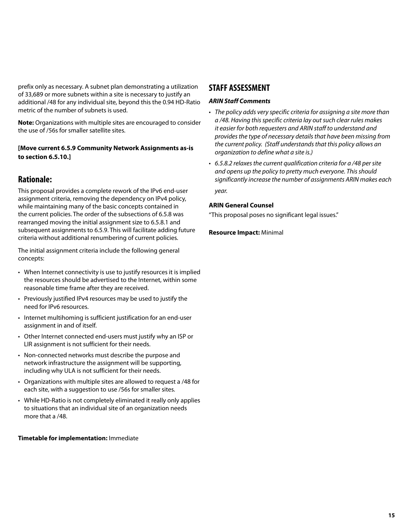prefix only as necessary. A subnet plan demonstrating a utilization of 33,689 or more subnets within a site is necessary to justify an additional /48 for any individual site, beyond this the 0.94 HD-Ratio metric of the number of subnets is used.

**Note:** Organizations with multiple sites are encouraged to consider the use of /56s for smaller satellite sites.

#### **[Move current 6.5.9 Community Network Assignments as-is to section 6.5.10.]**

# **Rationale:**

This proposal provides a complete rework of the IPv6 end-user assignment criteria, removing the dependency on IPv4 policy, while maintaining many of the basic concepts contained in the current policies. The order of the subsections of 6.5.8 was rearranged moving the initial assignment size to 6.5.8.1 and subsequent assignments to 6.5.9. This will facilitate adding future criteria without additional renumbering of current policies.

The initial assignment criteria include the following general concepts:

- When Internet connectivity is use to justify resources it is implied the resources should be advertised to the Internet, within some reasonable time frame after they are received.
- Previously justified IPv4 resources may be used to justify the need for IPv6 resources.
- Internet multihoming is sufficient justification for an end-user assignment in and of itself.
- Other Internet connected end-users must justify why an ISP or LIR assignment is not sufficient for their needs.
- Non-connected networks must describe the purpose and network infrastructure the assignment will be supporting, including why ULA is not sufficient for their needs.
- Organizations with multiple sites are allowed to request a /48 for each site, with a suggestion to use /56s for smaller sites.
- While HD-Ratio is not completely eliminated it really only applies to situations that an individual site of an organization needs more that a /48.

#### **Timetable for implementation:** Immediate

# **STAFF ASSESSMENT**

#### *ARIN Staff Comments*

- *• The policy adds very specific criteria for assigning a site more than a /48. Having thisspecific criteria lay outsuch clear rules makes it easier for both requesters and ARIN staff to understand and providesthe type of necessary detailsthat have been missing from the current policy. (Staff understandsthat this policy allows an organization to define what a site is.)*
- *• 6.5.8.2 relaxesthe current qualification criteria for a /48 persite and opens up the policy to pretty much everyone. Thisshould significantly increase the number of assignments ARIN makes each year.*

#### **ARIN General Counsel**

"This proposal poses no significant legal issues."

#### **Resource Impact:** Minimal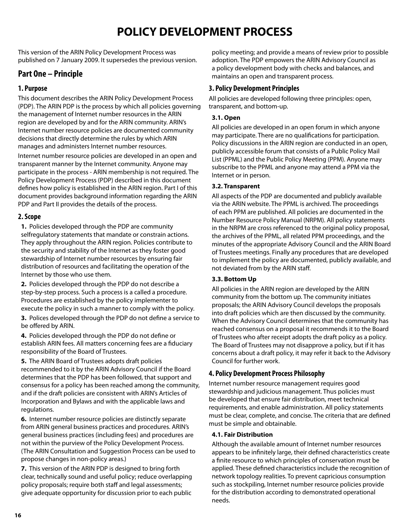# **POLICY DEVELOPMENT PROCESS**

This version of the ARIN Policy Development Process was published on 7 January 2009. It supersedes the previous version.

# **Part One – Principle**

# **1. Purpose**

This document describes the ARIN Policy Development Process (PDP). The ARIN PDP is the process by which all policies governing the management of Internet number resources in the ARIN region are developed by and for the ARIN community. ARIN's Internet number resource policies are documented community decisions that directly determine the rules by which ARIN manages and administers Internet number resources.

Internet number resource policies are developed in an open and transparent manner by the Internet community. Anyone may participate in the process - ARIN membership is not required. The Policy Development Process (PDP) described in this document defines how policy is established in the ARIN region. Part I of this document provides background information regarding the ARIN PDP and Part II provides the details of the process.

# **2. Scope**

**1.** Policies developed through the PDP are community selfregulatory statements that mandate or constrain actions. They apply throughout the ARIN region. Policies contribute to the security and stability of the Internet as they foster good stewardship of Internet number resources by ensuring fair distribution of resources and facilitating the operation of the Internet by those who use them.

**2.** Policies developed through the PDP do not describe a step-by-step process. Such a process is a called a procedure. Procedures are established by the policy implementer to execute the policy in such a manner to comply with the policy.

**3.** Polices developed through the PDP do not define a service to be offered by ARIN.

**4.** Policies developed through the PDP do not define or establish ARIN fees. All matters concerning fees are a fiduciary responsibility of the Board of Trustees.

**5.** The ARIN Board of Trustees adopts draft policies recommended to it by the ARIN Advisory Council if the Board determines that the PDP has been followed, that support and consensus for a policy has been reached among the community, and if the draft policies are consistent with ARIN's Articles of Incorporation and Bylaws and with the applicable laws and regulations.

**6.** Internet number resource policies are distinctly separate from ARIN general business practices and procedures. ARIN's general business practices (including fees) and procedures are not within the purview of the Policy Development Process. (The ARIN Consultation and Suggestion Process can be used to propose changes in non-policy areas.)

**7.** This version of the ARIN PDP is designed to bring forth clear, technically sound and useful policy; reduce overlapping policy proposals; require both staff and legal assessments; give adequate opportunity for discussion prior to each public

policy meeting; and provide a means of review prior to possible adoption. The PDP empowers the ARIN Advisory Council as a policy development body with checks and balances, and maintains an open and transparent process.

# **3. Policy Development Principles**

All policies are developed following three principles: open, transparent, and bottom-up.

# **3.1. Open**

All policies are developed in an open forum in which anyone may participate. There are no qualifications for participation. Policy discussions in the ARIN region are conducted in an open, publicly accessible forum that consists of a Public Policy Mail List (PPML) and the Public Policy Meeting (PPM). Anyone may subscribe to the PPML and anyone may attend a PPM via the Internet or in person.

# **3.2. Transparent**

All aspects of the PDP are documented and publicly available via the ARIN website. The PPML is archived. The proceedings of each PPM are published. All policies are documented in the Number Resource Policy Manual (NRPM). All policy statements in the NRPM are cross referenced to the original policy proposal, the archives of the PPML, all related PPM proceedings, and the minutes of the appropriate Advisory Council and the ARIN Board of Trustees meetings. Finally any procedures that are developed to implement the policy are documented, publicly available, and not deviated from by the ARIN staff.

# **3.3. Bottom Up**

All policies in the ARIN region are developed by the ARIN community from the bottom up. The community initiates proposals; the ARIN Advisory Council develops the proposals into draft policies which are then discussed by the community. When the Advisory Council determines that the community has reached consensus on a proposal it recommends it to the Board of Trustees who after receipt adopts the draft policy as a policy. The Board of Trustees may not disapprove a policy, but if it has concerns about a draft policy, it may refer it back to the Advisory Council for further work.

# **4. Policy Development Process Philosophy**

Internet number resource management requires good stewardship and judicious management. Thus policies must be developed that ensure fair distribution, meet technical requirements, and enable administration. All policy statements must be clear, complete, and concise. The criteria that are defined must be simple and obtainable.

# **4.1. Fair Distribution**

Although the available amount of Internet number resources appears to be infinitely large, their defined characteristics create a finite resource to which principles of conservation must be applied. These defined characteristics include the recognition of network topology realities. To prevent capricious consumption such as stockpiling, Internet number resource policies provide for the distribution according to demonstrated operational needs.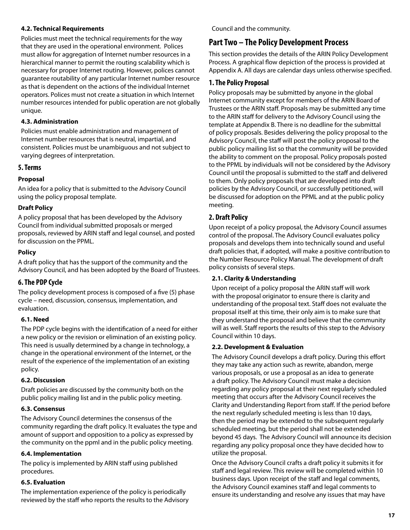#### **4.2. Technical Requirements**

Policies must meet the technical requirements for the way that they are used in the operational environment. Polices must allow for aggregation of Internet number resources in a hierarchical manner to permit the routing scalability which is necessary for proper Internet routing. However, polices cannot guarantee routability of any particular Internet number resource as that is dependent on the actions of the individual Internet operators. Polices must not create a situation in which Internet number resources intended for public operation are not globally unique.

#### **4.3. Administration**

Policies must enable administration and management of Internet number resources that is neutral, impartial, and consistent. Policies must be unambiguous and not subject to varying degrees of interpretation.

#### **5. Terms**

#### **Proposal**

An idea for a policy that is submitted to the Advisory Council using the policy proposal template.

#### **Draft Policy**

A policy proposal that has been developed by the Advisory Council from individual submitted proposals or merged proposals, reviewed by ARIN staff and legal counsel, and posted for discussion on the PPML.

#### **Policy**

A draft policy that has the support of the community and the Advisory Council, and has been adopted by the Board of Trustees.

# **6. The PDP Cycle**

The policy development process is composed of a five (5) phase cycle – need, discussion, consensus, implementation, and evaluation.

#### **6.1. Need**

The PDP cycle begins with the identification of a need for either a new policy or the revision or elimination of an existing policy. This need is usually determined by a change in technology, a change in the operational environment of the Internet, or the result of the experience of the implementation of an existing policy.

#### **6.2. Discussion**

Draft policies are discussed by the community both on the public policy mailing list and in the public policy meeting.

#### **6.3. Consensus**

The Advisory Council determines the consensus of the community regarding the draft policy. It evaluates the type and amount of support and opposition to a policy as expressed by the community on the ppml and in the public policy meeting.

#### **6.4. Implementation**

The policy is implemented by ARIN staff using published procedures.

#### **6.5. Evaluation**

The implementation experience of the policy is periodically reviewed by the staff who reports the results to the Advisory

#### Council and the community.

# **Part Two – The Policy Development Process**

This section provides the details of the ARIN Policy Development Process. A graphical flow depiction of the process is provided at Appendix A. All days are calendar days unless otherwise specified.

### **1. The Policy Proposal**

Policy proposals may be submitted by anyone in the global Internet community except for members of the ARIN Board of Trustees or the ARIN staff. Proposals may be submitted any time to the ARIN staff for delivery to the Advisory Council using the template at Appendix B. There is no deadline for the submittal of policy proposals. Besides delivering the policy proposal to the Advisory Council, the staff will post the policy proposal to the public policy mailing list so that the community will be provided the ability to comment on the proposal. Policy proposals posted to the PPML by individuals will not be considered by the Advisory Council until the proposal is submitted to the staff and delivered to them. Only policy proposals that are developed into draft policies by the Advisory Council, or successfully petitioned, will be discussed for adoption on the PPML and at the public policy meeting.

# **2. Draft Policy**

Upon receipt of a policy proposal, the Advisory Council assumes control of the proposal. The Advisory Council evaluates policy proposals and develops them into technically sound and useful draft policies that, if adopted, will make a positive contribution to the Number Resource Policy Manual. The development of draft policy consists of several steps.

#### **2.1. Clarity & Understanding**

Upon receipt of a policy proposal the ARIN staff will work with the proposal originator to ensure there is clarity and understanding of the proposal text. Staff does not evaluate the proposal itself at this time, their only aim is to make sure that they understand the proposal and believe that the community will as well. Staff reports the results of this step to the Advisory Council within 10 days.

#### **2.2. Development & Evaluation**

The Advisory Council develops a draft policy. During this effort they may take any action such as rewrite, abandon, merge various proposals, or use a proposal as an idea to generate a draft policy. The Advisory Council must make a decision regarding any policy proposal at their next regularly scheduled meeting that occurs after the Advisory Council receives the Clarity and Understanding Report from staff. If the period before the next regularly scheduled meeting is less than 10 days, then the period may be extended to the subsequent regularly scheduled meeting, but the period shall not be extended beyond 45 days. The Advisory Council will announce its decision regarding any policy proposal once they have decided how to utilize the proposal.

Once the Advisory Council crafts a draft policy it submits it for staff and legal review. This review will be completed within 10 business days. Upon receipt of the staff and legal comments, the Advisory Council examines staff and legal comments to ensure its understanding and resolve any issues that may have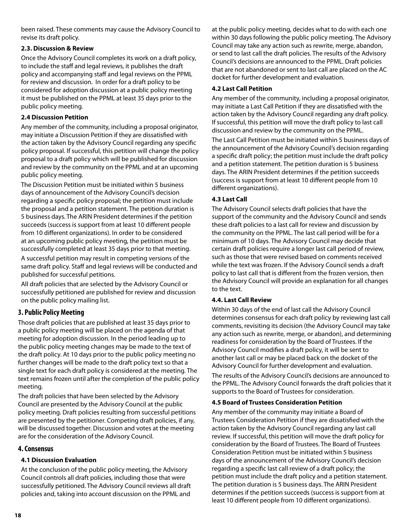been raised. These comments may cause the Advisory Council to revise its draft policy.

#### **2.3. Discussion & Review**

Once the Advisory Council completes its work on a draft policy, to include the staff and legal reviews, it publishes the draft policy and accompanying staff and legal reviews on the PPML for review and discussion. In order for a draft policy to be considered for adoption discussion at a public policy meeting it must be published on the PPML at least 35 days prior to the public policy meeting.

#### **2.4 Discussion Petition**

Any member of the community, including a proposal originator, may initiate a Discussion Petition if they are dissatisfied with the action taken by the Advisory Council regarding any specific policy proposal. If successful, this petition will change the policy proposal to a draft policy which will be published for discussion and review by the community on the PPML and at an upcoming public policy meeting.

The Discussion Petition must be initiated within 5 business days of announcement of the Advisory Council's decision regarding a specific policy proposal; the petition must include the proposal and a petition statement. The petition duration is 5 business days. The ARIN President determines if the petition succeeds (success is support from at least 10 different people from 10 different organizations). In order to be considered at an upcoming public policy meeting, the petition must be successfully completed at least 35 days prior to that meeting.

A successful petition may result in competing versions of the same draft policy. Staff and legal reviews will be conducted and published for successful petitions.

All draft policies that are selected by the Advisory Council or successfully petitioned are published for review and discussion on the public policy mailing list.

#### **3. Public Policy Meeting**

Those draft policies that are published at least 35 days prior to a public policy meeting will be placed on the agenda of that meeting for adoption discussion. In the period leading up to the public policy meeting changes may be made to the text of the draft policy. At 10 days prior to the public policy meeting no further changes will be made to the draft policy text so that a single text for each draft policy is considered at the meeting. The text remains frozen until after the completion of the public policy meeting.

The draft policies that have been selected by the Advisory Council are presented by the Advisory Council at the public policy meeting. Draft policies resulting from successful petitions are presented by the petitioner. Competing draft policies, if any, will be discussed together. Discussion and votes at the meeting are for the consideration of the Advisory Council.

#### **4. Consensus**

#### **4.1 Discussion Evaluation**

At the conclusion of the public policy meeting, the Advisory Council controls all draft policies, including those that were successfully petitioned. The Advisory Council reviews all draft policies and, taking into account discussion on the PPML and

at the public policy meeting, decides what to do with each one within 30 days following the public policy meeting. The Advisory Council may take any action such as rewrite, merge, abandon, or send to last call the draft policies. The results of the Advisory Council's decisions are announced to the PPML. Draft policies that are not abandoned or sent to last call are placed on the AC docket for further development and evaluation.

#### **4.2 Last Call Petition**

Any member of the community, including a proposal originator, may initiate a Last Call Petition if they are dissatisfied with the action taken by the Advisory Council regarding any draft policy. If successful, this petition will move the draft policy to last call discussion and review by the community on the PPML.

The Last Call Petition must be initiated within 5 business days of the announcement of the Advisory Council's decision regarding a specific draft policy; the petition must include the draft policy and a petition statement. The petition duration is 5 business days. The ARIN President determines if the petition succeeds (success is support from at least 10 different people from 10 different organizations).

#### **4.3 Last Call**

The Advisory Council selects draft policies that have the support of the community and the Advisory Council and sends these draft policies to a last call for review and discussion by the community on the PPML. The last call period will be for a minimum of 10 days. The Advisory Council may decide that certain draft policies require a longer last call period of review, such as those that were revised based on comments received while the text was frozen. If the Advisory Council sends a draft policy to last call that is different from the frozen version, then the Advisory Council will provide an explanation for all changes to the text.

#### **4.4. Last Call Review**

Within 30 days of the end of last call the Advisory Council determines consensus for each draft policy by reviewing last call comments, revisiting its decision (the Advisory Council may take any action such as rewrite, merge, or abandon), and determining readiness for consideration by the Board of Trustees. If the Advisory Council modifies a draft policy, it will be sent to another last call or may be placed back on the docket of the Advisory Council for further development and evaluation.

The results of the Advisory Council's decisions are announced to the PPML. The Advisory Council forwards the draft policies that it supports to the Board of Trustees for consideration.

#### **4.5 Board of Trustees Consideration Petition**

Any member of the community may initiate a Board of Trustees Consideration Petition if they are dissatisfied with the action taken by the Advisory Council regarding any last call review. If successful, this petition will move the draft policy for consideration by the Board of Trustees. The Board of Trustees Consideration Petition must be initiated within 5 business days of the announcement of the Advisory Council's decision regarding a specific last call review of a draft policy; the petition must include the draft policy and a petition statement. The petition duration is 5 business days. The ARIN President determines if the petition succeeds (success is support from at least 10 different people from 10 different organizations).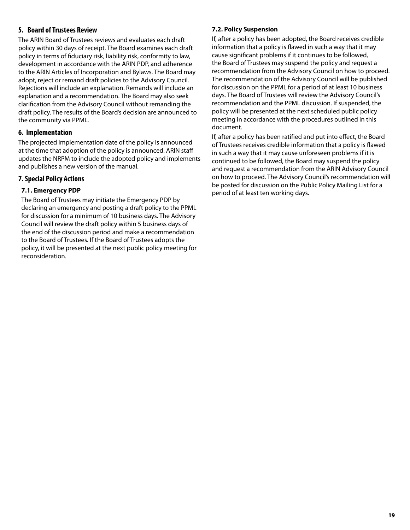# **5. Board of Trustees Review**

The ARIN Board of Trustees reviews and evaluates each draft policy within 30 days of receipt. The Board examines each draft policy in terms of fiduciary risk, liability risk, conformity to law, development in accordance with the ARIN PDP, and adherence to the ARIN Articles of Incorporation and Bylaws. The Board may adopt, reject or remand draft policies to the Advisory Council. Rejections will include an explanation. Remands will include an explanation and a recommendation. The Board may also seek clarification from the Advisory Council without remanding the draft policy. The results of the Board's decision are announced to the community via PPML.

## **6. Implementation**

The projected implementation date of the policy is announced at the time that adoption of the policy is announced. ARIN staff updates the NRPM to include the adopted policy and implements and publishes a new version of the manual.

# **7. Special Policy Actions**

## **7.1. Emergency PDP**

The Board of Trustees may initiate the Emergency PDP by declaring an emergency and posting a draft policy to the PPML for discussion for a minimum of 10 business days. The Advisory Council will review the draft policy within 5 business days of the end of the discussion period and make a recommendation to the Board of Trustees. If the Board of Trustees adopts the policy, it will be presented at the next public policy meeting for reconsideration.

#### **7.2. Policy Suspension**

If, after a policy has been adopted, the Board receives credible information that a policy is flawed in such a way that it may cause significant problems if it continues to be followed, the Board of Trustees may suspend the policy and request a recommendation from the Advisory Council on how to proceed. The recommendation of the Advisory Council will be published for discussion on the PPML for a period of at least 10 business days. The Board of Trustees will review the Advisory Council's recommendation and the PPML discussion. If suspended, the policy will be presented at the next scheduled public policy meeting in accordance with the procedures outlined in this document.

If, after a policy has been ratified and put into effect, the Board of Trustees receives credible information that a policy is flawed in such a way that it may cause unforeseen problems if it is continued to be followed, the Board may suspend the policy and request a recommendation from the ARIN Advisory Council on how to proceed. The Advisory Council's recommendation will be posted for discussion on the Public Policy Mailing List for a period of at least ten working days.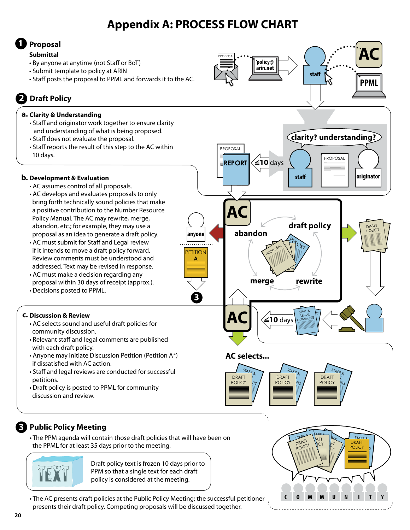# **Appendix A: PROCESS FLOW CHART**

**3**

**anyone**

**PETITION A**

**AC**

DRAFT

PROPOSAL

**REPORT**

**abandon**

# **1 Proposal**

## **Submittal**

- By anyone at anytime (not Staff or BoT)
- Submit template to policy at ARIN
- Staff posts the proposal to PPML and forwards it to the AC.

# **2 Draft Policy**

# **a. Clarity & Understanding**

- Staff and originator work together to ensure clarity and understanding of what is being proposed.
- Staff does not evaluate the proposal.
- Staff reports the result of this step to the AC within 10 days.

# **b. Development & Evaluation**

- AC assumes control of all proposals.
- AC develops and evaluates proposals to only bring forth technically sound policies that make a positive contribution to the Number Resource Policy Manual. The AC may rewrite, merge, abandon, etc.; for example, they may use a proposal as an idea to generate a draft policy.
- AC must submit for Staff and Legal review if it intends to move a draft policy forward. Review comments must be understood and addressed. Text may be revised in response.
- AC must make a decision regarding any proposal within 30 days of receipt (approx.).
- Decisions posted to PPML.

# **c. Discussion & Review**

- AC selects sound and useful draft policies for community discussion.
- Relevant staff and legal comments are published with each draft policy.
- Anyone may initiate Discussion Petition (Petition A\*) if dissatisfied with AC action.
- Staff and legal reviews are conducted for successful petitions.
- Draft policy is posted to PPML for community discussion and review.

#### **3 Public Policy Meeting**

• The PPM agenda will contain those draft policies that will have been on the PPML for at least 35 days prior to the meeting.



Draft policy text is frozen 10 days prior to PPM so that a single text for each draft<br>policy is considered at the meeting.

• The AC presents draft policies at the Public Policy Meeting; the successful petitioner presents their draft policy. Competing proposals will be discussed together.



PERDAY

**draft policy**

staff |  $\overline{\phantom{a}}$  | **originator** 

PROPOSAL

**clarity? understanding?**

 $\epsilon$ Pr $\ell$  $P_{\text{max}}$ **ROPOSAL REPORT** 

 $\leq$ **10** days

**merge rewrite**



DRAFT **DRAFT** DRAFT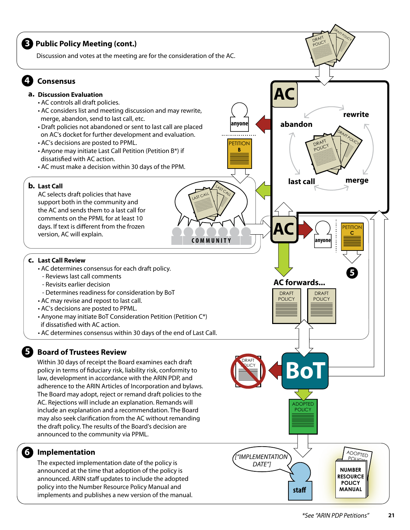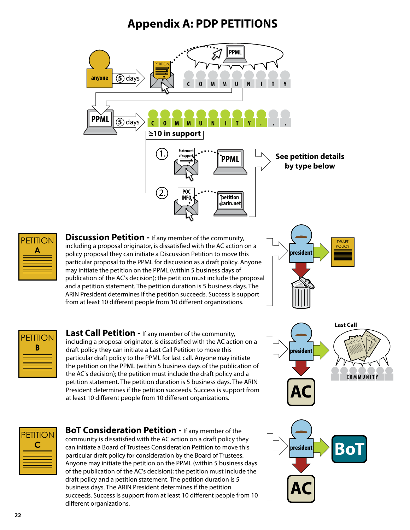# **Appendix A: PDP PETITIONS**





**Discussion Petition - If any member of the community,** including a proposal originator, is dissatisfied with the AC action on a policy proposal they can initiate a Discussion Petition to move this particular proposal to the PPML for discussion as a draft policy. Anyone may initiate the petition on the PPML (within 5 business days of publication of the AC's decision); the petition must include the proposal and a petition statement. The petition duration is 5 business days. The ARIN President determines if the petition succeeds. Success is support from at least 10 different people from 10 different organizations.



**Last Call Petition -** If any member of the community, including a proposal originator, is dissatisfied with the AC action on a draft policy they can initiate a Last Call Petition to move this particular draft policy to the PPML for last call. Anyone may initiate the petition on the PPML (within 5 business days of the publication of the AC's decision); the petition must include the draft policy and a petition statement. The petition duration is 5 business days. The ARIN President determines if the petition succeeds. Success is support from at least 10 different people from 10 different organizations.



**BoT Consideration Petition -** If any member of the community is dissatisfied with the AC action on a draft policy they can initiate a Board of Trustees Consideration Petition to move this particular draft policy for consideration by the Board of Trustees. Anyone may initiate the petition on the PPML (within 5 business days of the publication of the AC's decision); the petition must include the draft policy and a petition statement. The petition duration is 5 business days. The ARIN President determines if the petition succeeds. Success is support from at least 10 different people from 10 different organizations.



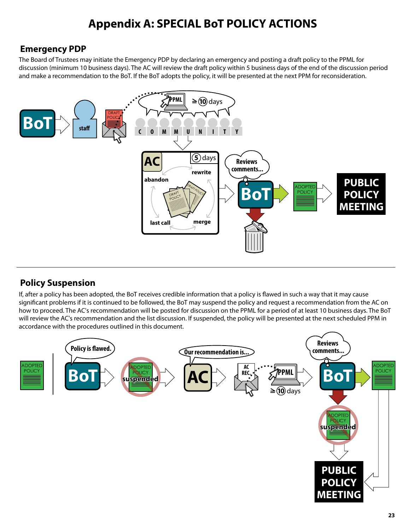# **SPECIAL BoT POLICY ACTIONS Appendix A: SPECIAL BoT POLICY ACTIONS**

# **Emergency PDP**

The Board of Trustees may initiate the Emergency PDP by declaring an emergency and posting a draft policy to the PPML for discussion (minimum 10 business days). The AC will review the draft policy within 5 business days of the end of the discussion period and make a recommendation to the BoT. If the BoT adopts the policy, it will be presented at the next PPM for reconsideration.



# **Policy Suspension**

If, after a policy has been adopted, the BoT receives credible information that a policy is flawed in such a way that it may cause significant problems if it is continued to be followed, the BoT may suspend the policy and request a recommendation from the AC on how to proceed. The AC's recommendation will be posted for discussion on the PPML for a period of at least 10 business days. The BoT will review the AC's recommendation and the list discussion. If suspended, the policy will be presented at the next scheduled PPM in accordance with the procedures outlined in this document.